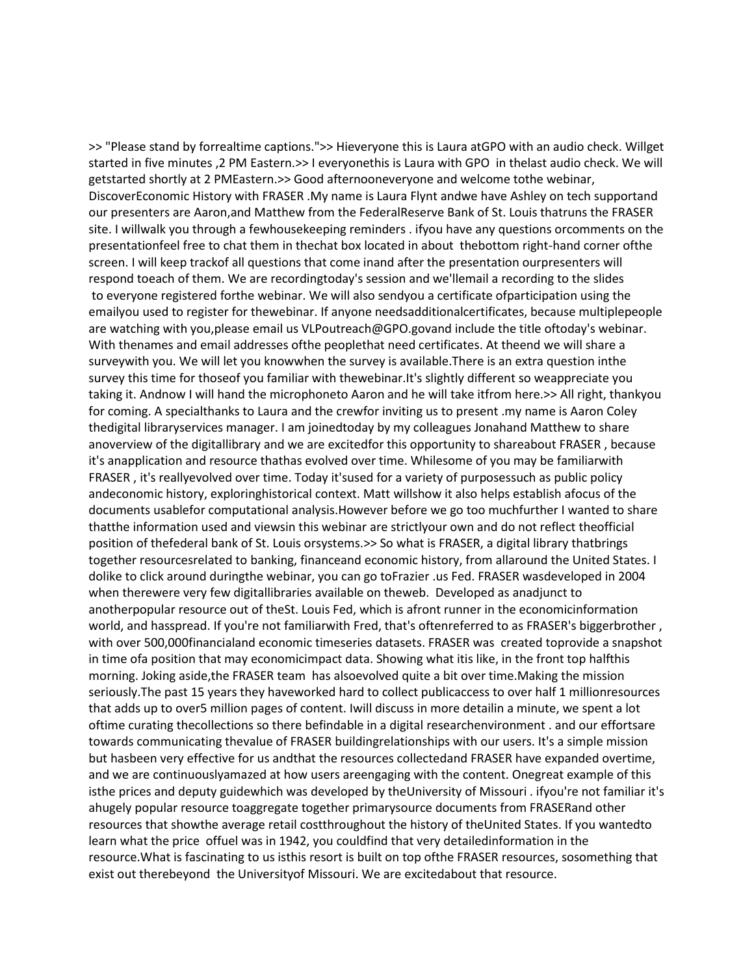>> "Please stand by forrealtime captions.">> Hieveryone this is Laura atGPO with an audio check. Willget started in five minutes ,2 PM Eastern.>> I everyonethis is Laura with GPO in thelast audio check. We will getstarted shortly at 2 PMEastern.>> Good afternooneveryone and welcome tothe webinar, DiscoverEconomic History with FRASER .My name is Laura Flynt andwe have Ashley on tech supportand our presenters are Aaron,and Matthew from the FederalReserve Bank of St. Louis thatruns the FRASER site. I willwalk you through a fewhousekeeping reminders . ifyou have any questions orcomments on the presentationfeel free to chat them in thechat box located in about thebottom right-hand corner ofthe screen. I will keep trackof all questions that come inand after the presentation ourpresenters will respond toeach of them. We are recordingtoday's session and we'llemail a recording to the slides to everyone registered forthe webinar. We will also sendyou a certificate ofparticipation using the emailyou used to register for thewebinar. If anyone needsadditionalcertificates, because multiplepeople are watching with you,please email us VLPoutreach@GPO.govand include the title oftoday's webinar. With thenames and email addresses ofthe peoplethat need certificates. At theend we will share a surveywith you. We will let you knowwhen the survey is available.There is an extra question inthe survey this time for thoseof you familiar with thewebinar.It's slightly different so weappreciate you taking it. Andnow I will hand the microphoneto Aaron and he will take itfrom here.>> All right, thankyou for coming. A specialthanks to Laura and the crewfor inviting us to present .my name is Aaron Coley thedigital libraryservices manager. I am joinedtoday by my colleagues Jonahand Matthew to share anoverview of the digitallibrary and we are excitedfor this opportunity to shareabout FRASER , because it's anapplication and resource thathas evolved over time. Whilesome of you may be familiarwith FRASER , it's reallyevolved over time. Today it'sused for a variety of purposessuch as public policy andeconomic history, exploringhistorical context. Matt willshow it also helps establish afocus of the documents usablefor computational analysis.However before we go too muchfurther I wanted to share thatthe information used and viewsin this webinar are strictlyour own and do not reflect theofficial position of thefederal bank of St. Louis orsystems.>> So what is FRASER, a digital library thatbrings together resourcesrelated to banking, financeand economic history, from allaround the United States. I dolike to click around duringthe webinar, you can go toFrazier .us Fed. FRASER wasdeveloped in 2004 when therewere very few digitallibraries available on theweb. Developed as anadjunct to anotherpopular resource out of theSt. Louis Fed, which is afront runner in the economicinformation world, and hasspread. If you're not familiarwith Fred, that's oftenreferred to as FRASER's biggerbrother, with over 500,000financialand economic timeseries datasets. FRASER was created toprovide a snapshot in time ofa position that may economicimpact data. Showing what itis like, in the front top halfthis morning. Joking aside,the FRASER team has alsoevolved quite a bit over time.Making the mission seriously.The past 15 years they haveworked hard to collect publicaccess to over half 1 millionresources that adds up to over5 million pages of content. Iwill discuss in more detailin a minute, we spent a lot oftime curating thecollections so there befindable in a digital researchenvironment . and our effortsare towards communicating thevalue of FRASER buildingrelationships with our users. It's a simple mission but hasbeen very effective for us andthat the resources collectedand FRASER have expanded overtime, and we are continuouslyamazed at how users areengaging with the content. Onegreat example of this isthe prices and deputy guidewhich was developed by theUniversity of Missouri . ifyou're not familiar it's ahugely popular resource toaggregate together primarysource documents from FRASERand other resources that showthe average retail costthroughout the history of theUnited States. If you wantedto learn what the price offuel was in 1942, you couldfind that very detailedinformation in the resource.What is fascinating to us isthis resort is built on top ofthe FRASER resources, sosomething that exist out therebeyond the Universityof Missouri. We are excitedabout that resource.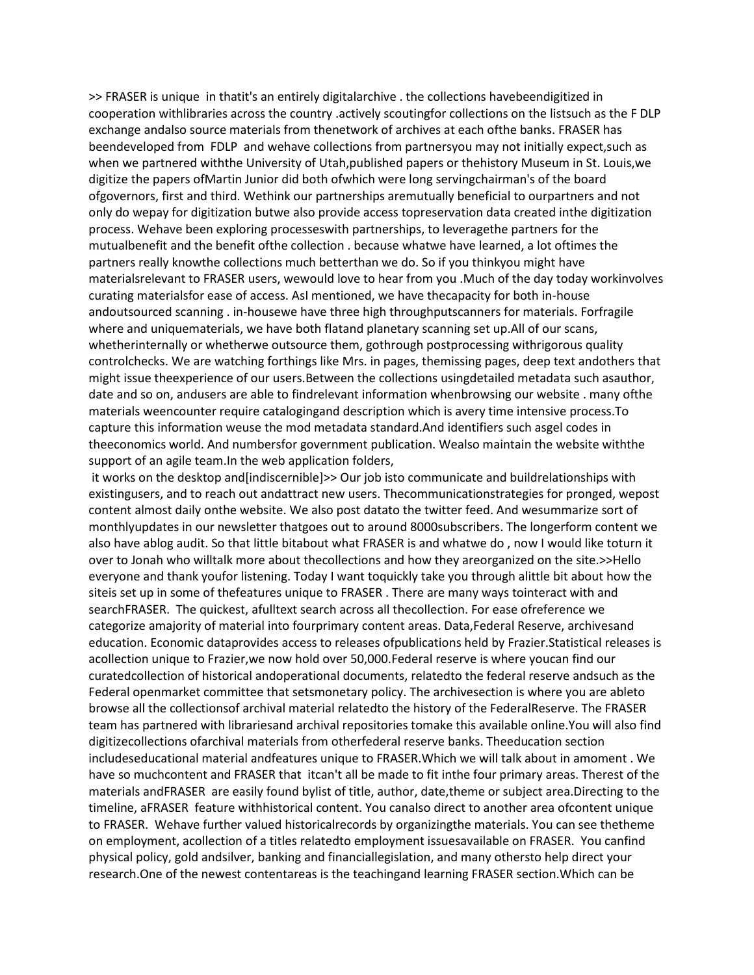>> FRASER is unique in thatit's an entirely digitalarchive . the collections havebeendigitized in cooperation withlibraries across the country .actively scoutingfor collections on the listsuch as the F DLP exchange andalso source materials from thenetwork of archives at each ofthe banks. FRASER has beendeveloped from FDLP and wehave collections from partnersyou may not initially expect,such as when we partnered withthe University of Utah,published papers or thehistory Museum in St. Louis,we digitize the papers ofMartin Junior did both ofwhich were long servingchairman's of the board ofgovernors, first and third. Wethink our partnerships aremutually beneficial to ourpartners and not only do wepay for digitization butwe also provide access topreservation data created inthe digitization process. Wehave been exploring processeswith partnerships, to leveragethe partners for the mutualbenefit and the benefit ofthe collection . because whatwe have learned, a lot oftimes the partners really knowthe collections much betterthan we do. So if you thinkyou might have materialsrelevant to FRASER users, wewould love to hear from you .Much of the day today workinvolves curating materialsfor ease of access. AsI mentioned, we have thecapacity for both in-house andoutsourced scanning . in-housewe have three high throughputscanners for materials. Forfragile where and uniquematerials, we have both flatand planetary scanning set up.All of our scans, whetherinternally or whetherwe outsource them, gothrough postprocessing withrigorous quality controlchecks. We are watching forthings like Mrs. in pages, themissing pages, deep text andothers that might issue theexperience of our users.Between the collections usingdetailed metadata such asauthor, date and so on, andusers are able to findrelevant information whenbrowsing our website . many ofthe materials weencounter require catalogingand description which is avery time intensive process.To capture this information weuse the mod metadata standard.And identifiers such asgel codes in theeconomics world. And numbersfor government publication. Wealso maintain the website withthe support of an agile team.In the web application folders,

it works on the desktop and[indiscernible]>> Our job isto communicate and buildrelationships with existingusers, and to reach out andattract new users. Thecommunicationstrategies for pronged, wepost content almost daily onthe website. We also post datato the twitter feed. And wesummarize sort of monthlyupdates in our newsletter thatgoes out to around 8000subscribers. The longerform content we also have ablog audit. So that little bitabout what FRASER is and whatwe do , now I would like toturn it over to Jonah who willtalk more about thecollections and how they areorganized on the site.>>Hello everyone and thank youfor listening. Today I want toquickly take you through alittle bit about how the siteis set up in some of thefeatures unique to FRASER . There are many ways tointeract with and searchFRASER. The quickest, afulltext search across all thecollection. For ease ofreference we categorize amajority of material into fourprimary content areas. Data,Federal Reserve, archivesand education. Economic dataprovides access to releases ofpublications held by Frazier.Statistical releases is acollection unique to Frazier,we now hold over 50,000.Federal reserve is where youcan find our curatedcollection of historical andoperational documents, relatedto the federal reserve andsuch as the Federal openmarket committee that setsmonetary policy. The archivesection is where you are ableto browse all the collectionsof archival material relatedto the history of the FederalReserve. The FRASER team has partnered with librariesand archival repositories tomake this available online.You will also find digitizecollections ofarchival materials from otherfederal reserve banks. Theeducation section includeseducational material andfeatures unique to FRASER.Which we will talk about in amoment . We have so muchcontent and FRASER that itcan't all be made to fit inthe four primary areas. Therest of the materials andFRASER are easily found bylist of title, author, date,theme or subject area.Directing to the timeline, aFRASER feature withhistorical content. You canalso direct to another area ofcontent unique to FRASER. Wehave further valued historicalrecords by organizingthe materials. You can see thetheme on employment, acollection of a titles relatedto employment issuesavailable on FRASER. You canfind physical policy, gold andsilver, banking and financiallegislation, and many othersto help direct your research.One of the newest contentareas is the teachingand learning FRASER section.Which can be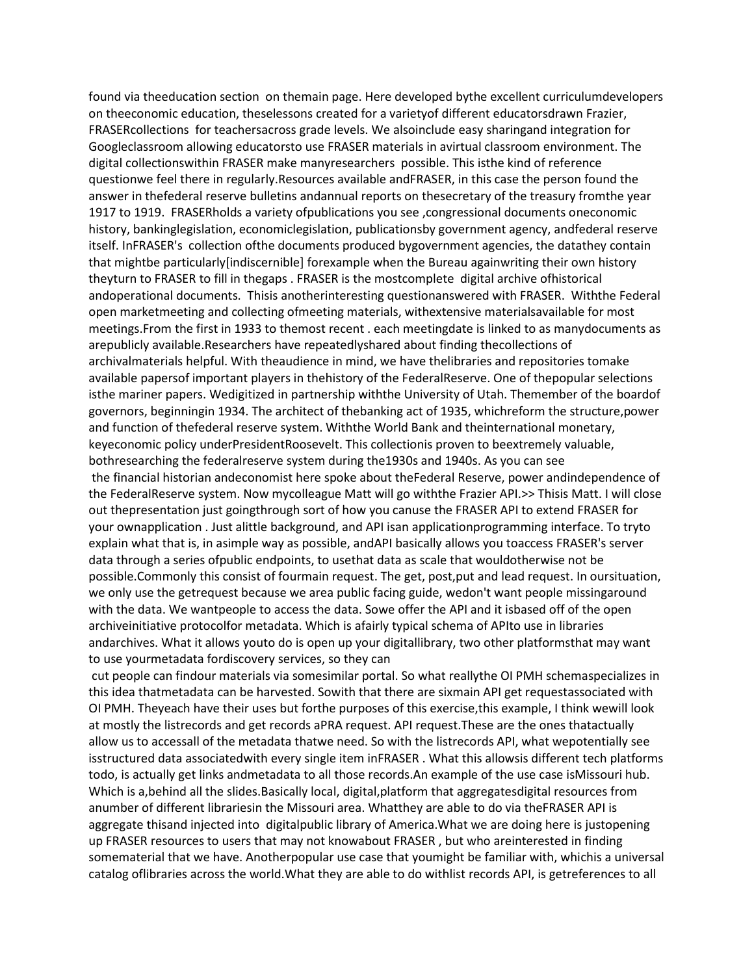found via theeducation section on themain page. Here developed bythe excellent curriculumdevelopers on theeconomic education, theselessons created for a varietyof different educatorsdrawn Frazier, FRASERcollections for teachersacross grade levels. We alsoinclude easy sharingand integration for Googleclassroom allowing educatorsto use FRASER materials in avirtual classroom environment. The digital collectionswithin FRASER make manyresearchers possible. This isthe kind of reference questionwe feel there in regularly.Resources available andFRASER, in this case the person found the answer in thefederal reserve bulletins andannual reports on thesecretary of the treasury fromthe year 1917 to 1919. FRASERholds a variety ofpublications you see ,congressional documents oneconomic history, bankinglegislation, economiclegislation, publicationsby government agency, andfederal reserve itself. InFRASER's collection ofthe documents produced bygovernment agencies, the datathey contain that mightbe particularly[indiscernible] forexample when the Bureau againwriting their own history theyturn to FRASER to fill in thegaps . FRASER is the mostcomplete digital archive ofhistorical andoperational documents. Thisis anotherinteresting questionanswered with FRASER. Withthe Federal open marketmeeting and collecting ofmeeting materials, withextensive materialsavailable for most meetings.From the first in 1933 to themost recent . each meetingdate is linked to as manydocuments as arepublicly available.Researchers have repeatedlyshared about finding thecollections of archivalmaterials helpful. With theaudience in mind, we have thelibraries and repositories tomake available papersof important players in thehistory of the FederalReserve. One of thepopular selections isthe mariner papers. Wedigitized in partnership withthe University of Utah. Themember of the boardof governors, beginningin 1934. The architect of thebanking act of 1935, whichreform the structure,power and function of thefederal reserve system. Withthe World Bank and theinternational monetary, keyeconomic policy underPresidentRoosevelt. This collectionis proven to beextremely valuable, bothresearching the federalreserve system during the1930s and 1940s. As you can see the financial historian andeconomist here spoke about theFederal Reserve, power andindependence of the FederalReserve system. Now mycolleague Matt will go withthe Frazier API.>> Thisis Matt. I will close out thepresentation just goingthrough sort of how you canuse the FRASER API to extend FRASER for your ownapplication . Just alittle background, and API isan applicationprogramming interface. To tryto explain what that is, in asimple way as possible, andAPI basically allows you toaccess FRASER's server data through a series ofpublic endpoints, to usethat data as scale that wouldotherwise not be possible.Commonly this consist of fourmain request. The get, post,put and lead request. In oursituation, we only use the getrequest because we area public facing guide, wedon't want people missingaround with the data. We wantpeople to access the data. Sowe offer the API and it isbased off of the open archiveinitiative protocolfor metadata. Which is afairly typical schema of APIto use in libraries andarchives. What it allows youto do is open up your digitallibrary, two other platformsthat may want to use yourmetadata fordiscovery services, so they can

cut people can findour materials via somesimilar portal. So what reallythe OI PMH schemaspecializes in this idea thatmetadata can be harvested. Sowith that there are sixmain API get requestassociated with OI PMH. Theyeach have their uses but forthe purposes of this exercise,this example, I think wewill look at mostly the listrecords and get records aPRA request. API request.These are the ones thatactually allow us to accessall of the metadata thatwe need. So with the listrecords API, what wepotentially see isstructured data associatedwith every single item inFRASER . What this allowsis different tech platforms todo, is actually get links andmetadata to all those records.An example of the use case isMissouri hub. Which is a,behind all the slides.Basically local, digital,platform that aggregatesdigital resources from anumber of different librariesin the Missouri area. Whatthey are able to do via theFRASER API is aggregate thisand injected into digitalpublic library of America.What we are doing here is justopening up FRASER resources to users that may not knowabout FRASER , but who areinterested in finding somematerial that we have. Anotherpopular use case that youmight be familiar with, whichis a universal catalog oflibraries across the world.What they are able to do withlist records API, is getreferences to all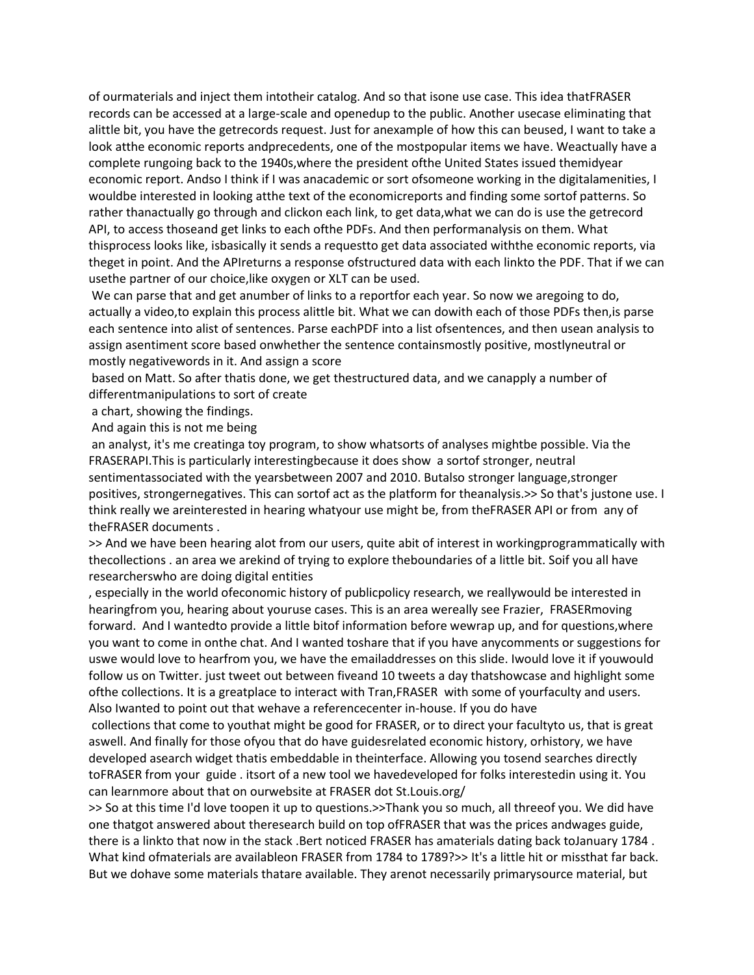of ourmaterials and inject them intotheir catalog. And so that isone use case. This idea thatFRASER records can be accessed at a large-scale and openedup to the public. Another usecase eliminating that alittle bit, you have the getrecords request. Just for anexample of how this can beused, I want to take a look atthe economic reports andprecedents, one of the mostpopular items we have. Weactually have a complete rungoing back to the 1940s,where the president ofthe United States issued themidyear economic report. Andso I think if I was anacademic or sort ofsomeone working in the digitalamenities, I wouldbe interested in looking atthe text of the economicreports and finding some sortof patterns. So rather thanactually go through and clickon each link, to get data,what we can do is use the getrecord API, to access thoseand get links to each ofthe PDFs. And then performanalysis on them. What thisprocess looks like, isbasically it sends a requestto get data associated withthe economic reports, via theget in point. And the APIreturns a response ofstructured data with each linkto the PDF. That if we can usethe partner of our choice,like oxygen or XLT can be used.

We can parse that and get anumber of links to a reportfor each year. So now we aregoing to do, actually a video,to explain this process alittle bit. What we can dowith each of those PDFs then,is parse each sentence into alist of sentences. Parse eachPDF into a list ofsentences, and then usean analysis to assign asentiment score based onwhether the sentence containsmostly positive, mostlyneutral or mostly negativewords in it. And assign a score

based on Matt. So after thatis done, we get thestructured data, and we canapply a number of differentmanipulations to sort of create

a chart, showing the findings.

And again this is not me being

an analyst, it's me creatinga toy program, to show whatsorts of analyses mightbe possible. Via the FRASERAPI.This is particularly interestingbecause it does show a sortof stronger, neutral sentimentassociated with the yearsbetween 2007 and 2010. Butalso stronger language,stronger positives, strongernegatives. This can sortof act as the platform for theanalysis.>> So that's justone use. I think really we areinterested in hearing whatyour use might be, from theFRASER API or from any of theFRASER documents .

>> And we have been hearing alot from our users, quite abit of interest in workingprogrammatically with thecollections . an area we arekind of trying to explore theboundaries of a little bit. Soif you all have researcherswho are doing digital entities

, especially in the world ofeconomic history of publicpolicy research, we reallywould be interested in hearingfrom you, hearing about youruse cases. This is an area wereally see Frazier, FRASERmoving forward. And I wantedto provide a little bitof information before wewrap up, and for questions,where you want to come in onthe chat. And I wanted toshare that if you have anycomments or suggestions for uswe would love to hearfrom you, we have the emailaddresses on this slide. Iwould love it if youwould follow us on Twitter. just tweet out between fiveand 10 tweets a day thatshowcase and highlight some ofthe collections. It is a greatplace to interact with Tran,FRASER with some of yourfaculty and users. Also Iwanted to point out that wehave a referencecenter in-house. If you do have

collections that come to youthat might be good for FRASER, or to direct your facultyto us, that is great aswell. And finally for those ofyou that do have guidesrelated economic history, orhistory, we have developed asearch widget thatis embeddable in theinterface. Allowing you tosend searches directly toFRASER from your guide . itsort of a new tool we havedeveloped for folks interestedin using it. You can learnmore about that on ourwebsite at FRASER dot St.Louis.org/

>> So at this time I'd love toopen it up to questions.>>Thank you so much, all threeof you. We did have one thatgot answered about theresearch build on top ofFRASER that was the prices andwages guide, there is a linkto that now in the stack .Bert noticed FRASER has amaterials dating back toJanuary 1784 . What kind ofmaterials are availableon FRASER from 1784 to 1789?>> It's a little hit or missthat far back. But we dohave some materials thatare available. They arenot necessarily primarysource material, but